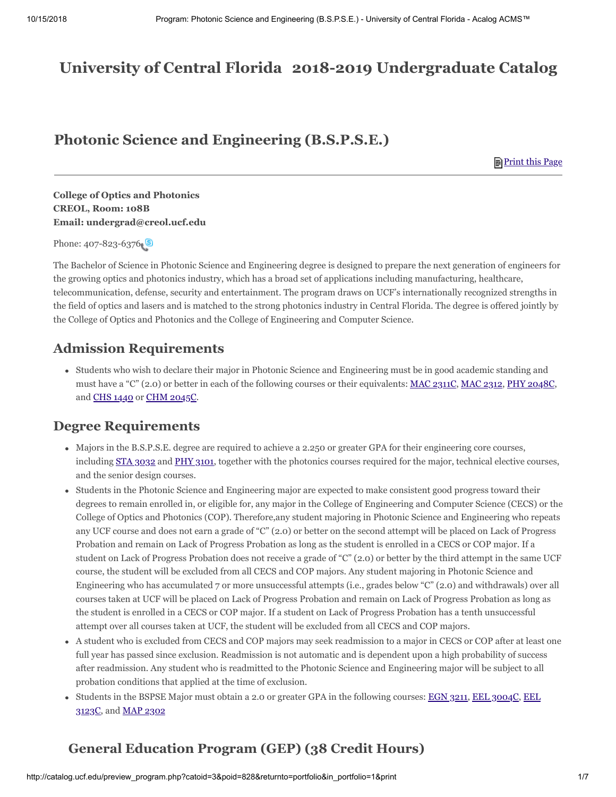# **2018-2019 Undergraduate Catalog University of Central Florida**

## **Photonic Science and Engineering (B.S.P.S.E.)**

<span id="page-0-2"></span><span id="page-0-1"></span><span id="page-0-0"></span>**Print this Page** 

**College of Optics and Photonics CREOL, Room: 108B Email: undergrad@creol.ucf.edu**

Phone: 407-823-6376

The Bachelor of Science in Photonic Science and Engineering degree is designed to prepare the next generation of engineers for the growing optics and photonics industry, which has a broad set of applications including manufacturing, healthcare, telecommunication, defense, security and entertainment. The program draws on UCF's internationally recognized strengths in the field of optics and lasers and is matched to the strong photonics industry in Central Florida. The degree is offered jointly by the College of Optics and Photonics and the College of Engineering and Computer Science.

## **Admission Requirements**

<span id="page-0-4"></span><span id="page-0-3"></span>Students who wish to declare their major in Photonic Science and Engineering must be in good academic standing and must have a "C" (2.0) or better in each of the following courses or their equivalents: [MAC 2311C,](#page-0-0) [MAC 2312](#page-0-1), [PHY 2048C,](#page-0-2) and [CHS 1440](#page-0-3) or [CHM 2045C](#page-0-4).

## **Degree Requirements**

- <span id="page-0-6"></span><span id="page-0-5"></span>Majors in the B.S.P.S.E. degree are required to achieve a 2.250 or greater GPA for their engineering core courses, including  $STA_3032$  and [PHY 3101,](#page-0-6) together with the photonics courses required for the major, technical elective courses, and the senior design courses.
- Students in the Photonic Science and Engineering major are expected to make consistent good progress toward their degrees to remain enrolled in, or eligible for, any major in the College of Engineering and Computer Science (CECS) or the College of Optics and Photonics (COP). Therefore,any student majoring in Photonic Science and Engineering who repeats any UCF course and does not earn a grade of "C" (2.0) or better on the second attempt will be placed on Lack of Progress Probation and remain on Lack of Progress Probation as long as the student is enrolled in a CECS or COP major. If a student on Lack of Progress Probation does not receive a grade of "C" (2.0) or better by the third attempt in the same UCF course, the student will be excluded from all CECS and COP majors. Any student majoring in Photonic Science and Engineering who has accumulated 7 or more unsuccessful attempts (i.e., grades below "C" (2.0) and withdrawals) over all courses taken at UCF will be placed on Lack of Progress Probation and remain on Lack of Progress Probation as long as the student is enrolled in a CECS or COP major. If a student on Lack of Progress Probation has a tenth unsuccessful attempt over all courses taken at UCF, the student will be excluded from all CECS and COP majors.
- A student who is excluded from CECS and COP majors may seek readmission to a major in CECS or COP after at least one full year has passed since exclusion. Readmission is not automatic and is dependent upon a high probability of success after readmission. Any student who is readmitted to the Photonic Science and Engineering major will be subject to all probation conditions that applied at the time of exclusion.
- <span id="page-0-10"></span><span id="page-0-9"></span><span id="page-0-8"></span><span id="page-0-7"></span>[Students in the BSPSE Major must obtain a 2.0 or greater GPA in the following courses: E](#page-0-9)[GN 3211](#page-0-7)[,](#page-0-9) [EEL 3004C](#page-0-8)[, EEL](#page-0-9) 3123C, and [MAP 2302](#page-0-10)

# **General Education Program (GEP) (38 Credit Hours)**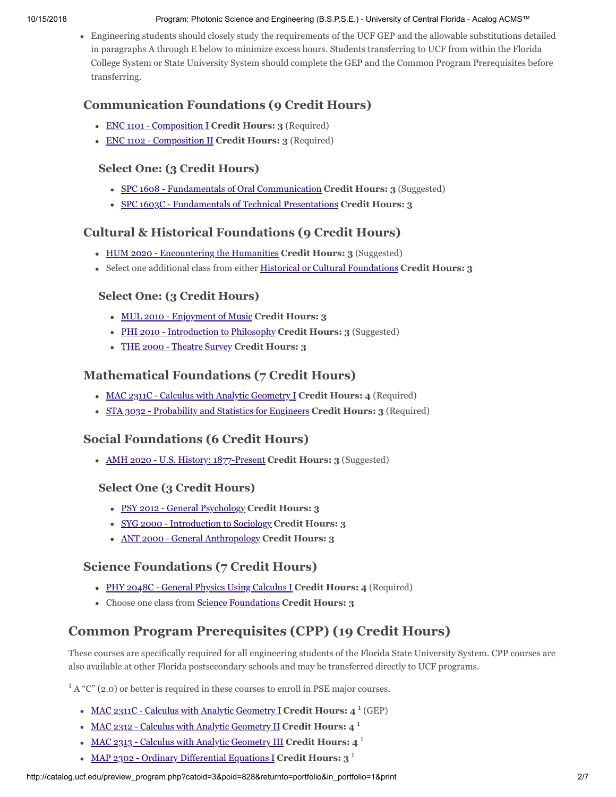#### 10/15/2018 Program: Photonic Science and Engineering (B.S.P.S.E.) - University of Central Florida - Acalog ACMS™

Engineering students should closely study the requirements of the UCF GEP and the allowable substitutions detailed in paragraphs A through E below to minimize excess hours. Students transferring to UCF from within the Florida College System or State University System should complete the GEP and the Common Program Prerequisites before transferring.

## **Communication Foundations (9 Credit Hours)**

- ENC 1101 Composition I **Credit Hours: 3** (Required)
- ENC 1102 Composition II **Credit Hours: 3** (Required)

### **Select One: (3 Credit Hours)**

- SPC 1608 Fundamentals of Oral Communication **Credit Hours: 3** (Suggested)
- SPC 1603C Fundamentals of Technical Presentations **Credit Hours: 3**

## **Cultural & Historical Foundations (9 Credit Hours)**

- HUM 2020 Encountering the Humanities **Credit Hours: 3** (Suggested)
- Select one additional class from either [Historical or Cultural Foundations](http://catalog.ucf.edu/preview_program.php?catoid=3&poid=710#culturalhistoricalfoundation9credithours) **Credit Hours: 3**

### **Select One: (3 Credit Hours)**

- MUL 2010 Enjoyment of Music **Credit Hours: 3**
- PHI 2010 Introduction to Philosophy **Credit Hours: 3** (Suggested)
- THE 2000 Theatre Survey **Credit Hours: 3**

### **Mathematical Foundations (7 Credit Hours)**

- MAC 2311C Calculus with Analytic Geometry I **Credit Hours: 4** (Required)
- STA 3032 Probability and Statistics for Engineers **Credit Hours: 3** (Required)

### **Social Foundations (6 Credit Hours)**

AMH 2020 - U.S. History: 1877-Present **Credit Hours: 3** (Suggested)

#### **Select One (3 Credit Hours)**

- PSY 2012 General Psychology **Credit Hours: 3**
- SYG 2000 Introduction to Sociology **Credit Hours: 3**
- ANT 2000 General Anthropology **Credit Hours: 3**

## **Science Foundations (7 Credit Hours)**

- PHY 2048C General Physics Using Calculus I **Credit Hours: 4** (Required)
- Choose one class from [Science Foundations](http://catalog.ucf.edu/preview_program.php?catoid=3&poid=710#sciencefoundation6credithours) **Credit Hours: 3**

# **Common Program Prerequisites (CPP) (19 Credit Hours)**

These courses are specifically required for all engineering students of the Florida State University System. CPP courses are also available at other Florida postsecondary schools and may be transferred directly to UCF programs.

 $1 A$  "C" (2.0) or better is required in these courses to enroll in PSE major courses.

- MAC 2311C Calculus with Analytic Geometry I **Credit Hours: 4** 1 (GEP)
- MAC 2312 Calculus with Analytic Geometry II **Credit Hours: 4** 1
- MAC 2313 Calculus with Analytic Geometry III **Credit Hours: 4** 1
- MAP 2302 Ordinary Differential Equations I **Credit Hours: 3** 1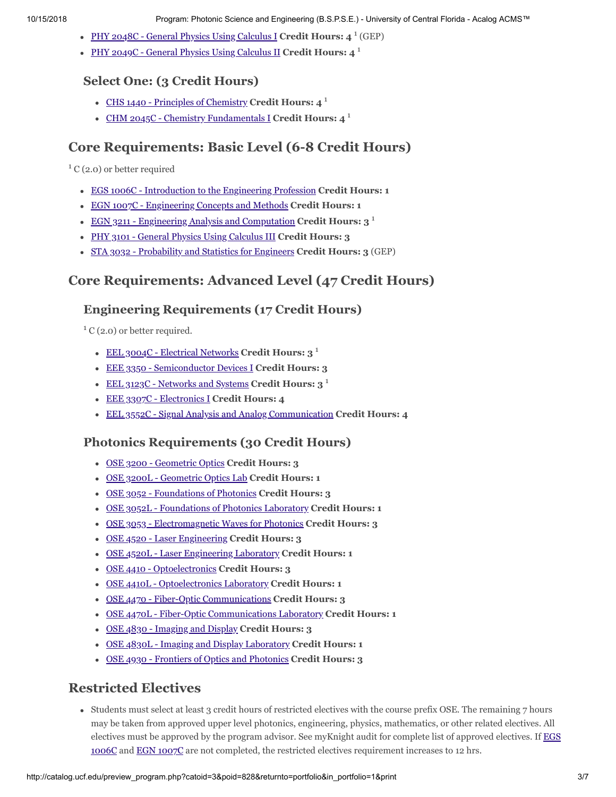- PHY 2048C General Physics Using Calculus I **Credit Hours: 4** 1 (GEP)
- PHY 2049C General Physics Using Calculus II **Credit Hours: 4** 1

### **Select One: (3 Credit Hours)**

- CHS 1440 Principles of Chemistry **Credit Hours: 4** 1
- CHM 2045C Chemistry Fundamentals I **Credit Hours: 4** 1

## **Core Requirements: Basic Level (6-8 Credit Hours)**

 ${}^{1}$  C (2.0) or better required

- EGS 1006C Introduction to the Engineering Profession **Credit Hours: 1**
- EGN 1007C Engineering Concepts and Methods **Credit Hours: 1**
- EGN 3211 Engineering Analysis and Computation **Credit Hours: 3** 1
- PHY 3101 General Physics Using Calculus III **Credit Hours: 3**
- STA 3032 Probability and Statistics for Engineers **Credit Hours: 3** (GEP)

## **Core Requirements: Advanced Level (47 Credit Hours)**

### **Engineering Requirements (17 Credit Hours)**

 ${}^{1}$  C (2.0) or better required.

- EEL 3004C Electrical Networks **Credit Hours: 3** 1
- EEE 3350 Semiconductor Devices I **Credit Hours: 3**
- EEL 3123C Networks and Systems **Credit Hours: 3** 1
- EEE 3307C Electronics I **Credit Hours: 4**
- EEL 3552C Signal Analysis and Analog Communication **Credit Hours: 4**

### **Photonics Requirements (30 Credit Hours)**

- OSE 3200 Geometric Optics **Credit Hours: 3**
- OSE 3200L Geometric Optics Lab **Credit Hours: 1**
- OSE 3052 Foundations of Photonics **Credit Hours: 3**
- OSE 3052L Foundations of Photonics Laboratory **Credit Hours: 1**
- OSE 3053 Electromagnetic Waves for Photonics **Credit Hours: 3**
- OSE 4520 Laser Engineering **Credit Hours: 3**
- OSE 4520L Laser Engineering Laboratory **Credit Hours: 1**
- OSE 4410 Optoelectronics **Credit Hours: 3**
- OSE 4410L Optoelectronics Laboratory **Credit Hours: 1**
- OSE 4470 Fiber-Optic Communications **Credit Hours: 3**
- OSE 4470L Fiber-Optic Communications Laboratory **Credit Hours: 1**
- OSE 4830 Imaging and Display **Credit Hours: 3**
- OSE 4830L Imaging and Display Laboratory **Credit Hours: 1**
- OSE 4930 Frontiers of Optics and Photonics **Credit Hours: 3**

## **Restricted Electives**

<span id="page-2-1"></span><span id="page-2-0"></span>Students must select at least 3 credit hours of restricted electives with the course prefix OSE. The remaining 7 hours may be taken from approved upper level photonics, engineering, physics, mathematics, or other related electives. All [electives must be approved by the program advisor. See myKnight audit for complete list of approved electives. If EGS](#page-2-0) 1006C and [EGN 1007C](#page-2-1) are not completed, the restricted electives requirement increases to 12 hrs.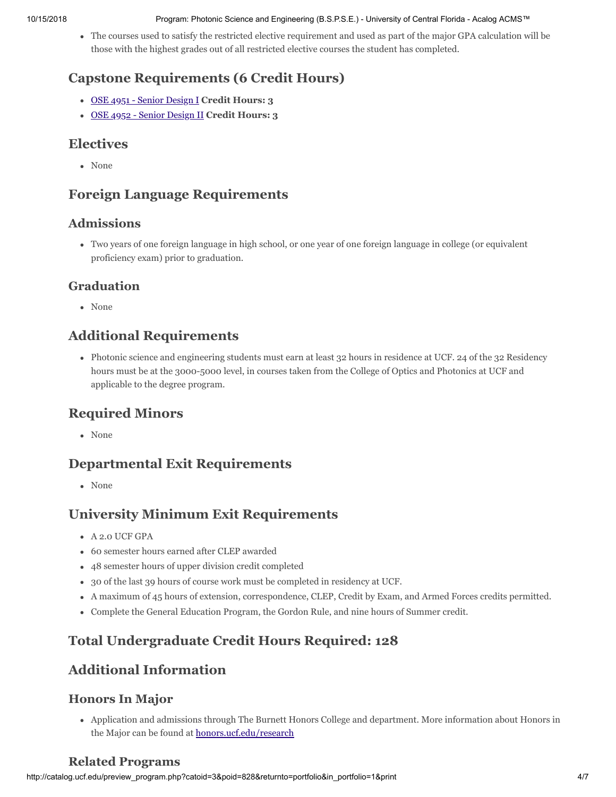#### 10/15/2018 Program: Photonic Science and Engineering (B.S.P.S.E.) - University of Central Florida - Acalog ACMS™

The courses used to satisfy the restricted elective requirement and used as part of the major GPA calculation will be those with the highest grades out of all restricted elective courses the student has completed.

## **Capstone Requirements (6 Credit Hours)**

- OSE 4951 Senior Design I **Credit Hours: 3**
- OSE 4952 Senior Design II **Credit Hours: 3**

## **Electives**

None

## **Foreign Language Requirements**

## **Admissions**

Two years of one foreign language in high school, or one year of one foreign language in college (or equivalent proficiency exam) prior to graduation.

## **Graduation**

None

## **Additional Requirements**

Photonic science and engineering students must earn at least 32 hours in residence at UCF. 24 of the 32 Residency hours must be at the 3000-5000 level, in courses taken from the College of Optics and Photonics at UCF and applicable to the degree program.

## **Required Minors**

None

## **Departmental Exit Requirements**

None

## **University Minimum Exit Requirements**

- A 2.0 UCF GPA
- 60 semester hours earned after CLEP awarded
- 48 semester hours of upper division credit completed
- 30 of the last 39 hours of course work must be completed in residency at UCF.
- A maximum of 45 hours of extension, correspondence, CLEP, Credit by Exam, and Armed Forces credits permitted.
- Complete the General Education Program, the Gordon Rule, and nine hours of Summer credit.

# **Total Undergraduate Credit Hours Required: 128**

## **Additional Information**

## **Honors In Major**

Application and admissions through The Burnett Honors College and department. More information about Honors in the Major can be found at **[honors.ucf.edu/research](https://honors.ucf.edu/research/)** 

## **Related Programs**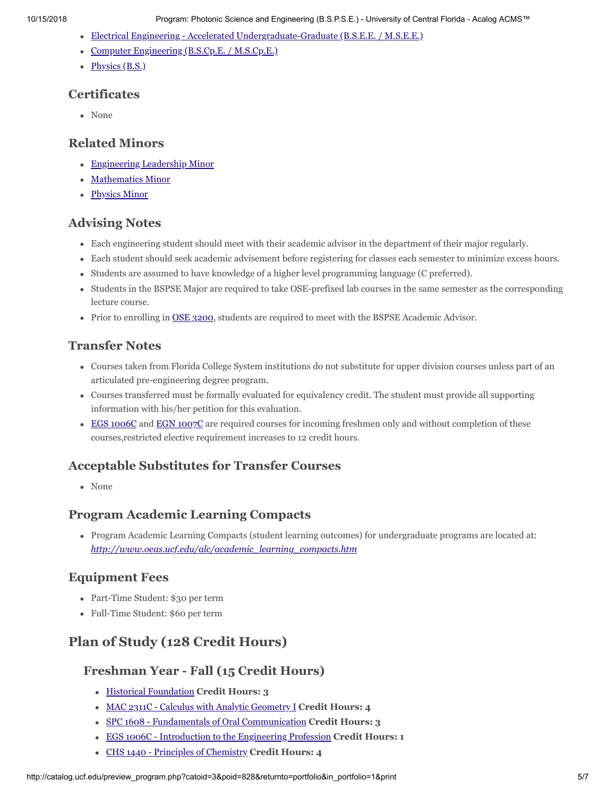- [Electrical Engineering Accelerated Undergraduate-Graduate \(B.S.E.E. / M.S.E.E.\)](http://catalog.ucf.edu/preview_program.php?catoid=3&poid=714)
- [Computer Engineering \(B.S.Cp.E. / M.S.Cp.E.\)](http://catalog.ucf.edu/preview_program.php?catoid=3&poid=713)
- $\bullet$  [Physics \(B.S.\)](http://catalog.ucf.edu/preview_program.php?catoid=3&poid=836)

#### **Certificates**

• None

#### **Related Minors**

- [Engineering Leadership Minor](http://catalog.ucf.edu/preview_program.php?catoid=3&poid=927)
- [Mathematics Minor](http://catalog.ucf.edu/preview_program.php?catoid=3&poid=941)
- [Physics Minor](http://catalog.ucf.edu/preview_program.php?catoid=3&poid=945)

#### **Advising Notes**

- Each engineering student should meet with their academic advisor in the department of their major regularly.
- Each student should seek academic advisement before registering for classes each semester to minimize excess hours.
- Students are assumed to have knowledge of a higher level programming language (C preferred).
- Students in the BSPSE Major are required to take OSE-prefixed lab courses in the same semester as the corresponding lecture course.
- <span id="page-4-0"></span>• Prior to enrolling in [OSE 3200](#page-4-0), students are required to meet with the BSPSE Academic Advisor.

#### **Transfer Notes**

- Courses taken from Florida College System institutions do not substitute for upper division courses unless part of an articulated pre-engineering degree program.
- Courses transferred must be formally evaluated for equivalency credit. The student must provide all supporting information with his/her petition for this evaluation.
- <span id="page-4-2"></span><span id="page-4-1"></span>• [EGS 1006C](#page-4-1) and [EGN 1007C](#page-4-2) are required courses for incoming freshmen only and without completion of these courses,restricted elective requirement increases to 12 credit hours.

### **Acceptable Substitutes for Transfer Courses**

None

#### **Program Academic Learning Compacts**

Program Academic Learning Compacts (student learning outcomes) for undergraduate programs are located at: *[http://www.oeas.ucf.edu/alc/academic\\_learning\\_compacts.htm](http://www.oeas.ucf.edu/alc/academic_learning_compacts.htm)*

### **Equipment Fees**

- Part-Time Student: \$30 per term
- Full-Time Student: \$60 per term

## **Plan of Study (128 Credit Hours)**

#### **Freshman Year - Fall (15 Credit Hours)**

- [Historical Foundation](http://catalog.ucf.edu/preview_program.php?catoid=3&poid=710#culturalhistoricalfoundation9credithours) **Credit Hours: 3**
- MAC 2311C Calculus with Analytic Geometry I **Credit Hours: 4**
- SPC 1608 Fundamentals of Oral Communication **Credit Hours: 3**
- EGS 1006C Introduction to the Engineering Profession **Credit Hours: 1**
- CHS 1440 Principles of Chemistry **Credit Hours: 4**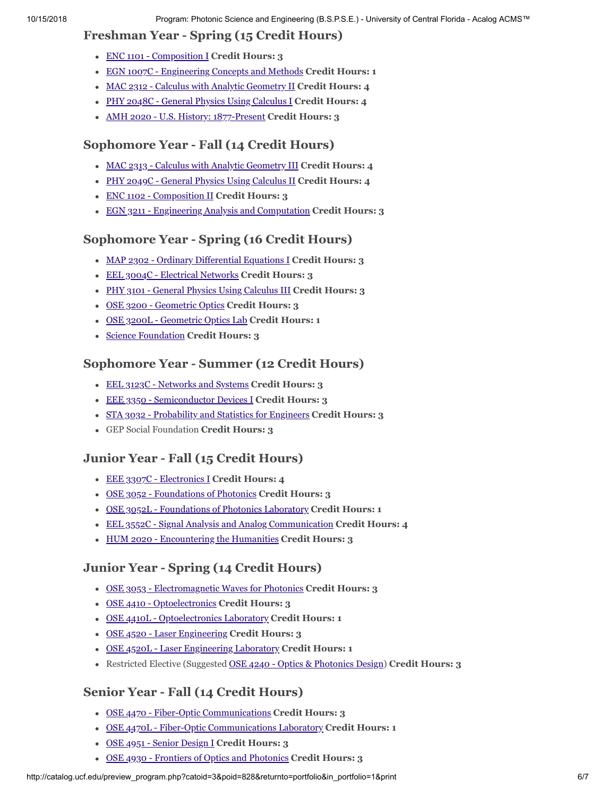### **Freshman Year - Spring (15 Credit Hours)**

- ENC 1101 Composition I **Credit Hours: 3**
- EGN 1007C Engineering Concepts and Methods **Credit Hours: 1**
- MAC 2312 Calculus with Analytic Geometry II **Credit Hours: 4**
- PHY 2048C General Physics Using Calculus I **Credit Hours: 4**
- AMH 2020 U.S. History: 1877-Present **Credit Hours: 3**

### **Sophomore Year - Fall (14 Credit Hours)**

- MAC 2313 Calculus with Analytic Geometry III **Credit Hours: 4**
- PHY 2049C General Physics Using Calculus II **Credit Hours: 4**
- ENC 1102 Composition II **Credit Hours: 3**
- EGN 3211 Engineering Analysis and Computation **Credit Hours: 3**

### **Sophomore Year - Spring (16 Credit Hours)**

- MAP 2302 Ordinary Differential Equations I **Credit Hours: 3**
- EEL 3004C Electrical Networks **Credit Hours: 3**
- PHY 3101 General Physics Using Calculus III **Credit Hours: 3**
- OSE 3200 Geometric Optics **Credit Hours: 3**
- OSE 3200L Geometric Optics Lab **Credit Hours: 1**
- [Science Foundation](http://catalog.ucf.edu/preview_program.php?catoid=3&poid=710#sciencefoundation6credithours) **Credit Hours: 3**

### **Sophomore Year - Summer (12 Credit Hours)**

- EEL 3123C Networks and Systems **Credit Hours: 3**
- EEE 3350 Semiconductor Devices I **Credit Hours: 3**
- STA 3032 Probability and Statistics for Engineers **Credit Hours: 3**
- GEP Social Foundation **Credit Hours: 3**

## **Junior Year - Fall (15 Credit Hours)**

- EEE 3307C Electronics I **Credit Hours: 4**
- OSE 3052 Foundations of Photonics **Credit Hours: 3**
- OSE 3052L Foundations of Photonics Laboratory **Credit Hours: 1**
- EEL 3552C Signal Analysis and Analog Communication **Credit Hours: 4**
- HUM 2020 Encountering the Humanities **Credit Hours: 3**

## **Junior Year - Spring (14 Credit Hours)**

- OSE 3053 Electromagnetic Waves for Photonics **Credit Hours: 3**
- OSE 4410 Optoelectronics **Credit Hours: 3**
- OSE 4410L Optoelectronics Laboratory **Credit Hours: 1**
- OSE 4520 Laser Engineering **Credit Hours: 3**
- OSE 4520L Laser Engineering Laboratory **Credit Hours: 1**
- <span id="page-5-0"></span>Restricted Elective (Suggested [OSE 4240 - Optics & Photonics Design\)](#page-5-0) **Credit Hours: 3**

## **Senior Year - Fall (14 Credit Hours)**

- OSE 4470 Fiber-Optic Communications **Credit Hours: 3**
- OSE 4470L Fiber-Optic Communications Laboratory **Credit Hours: 1**
- OSE 4951 Senior Design I **Credit Hours: 3**
- OSE 4930 Frontiers of Optics and Photonics **Credit Hours: 3**